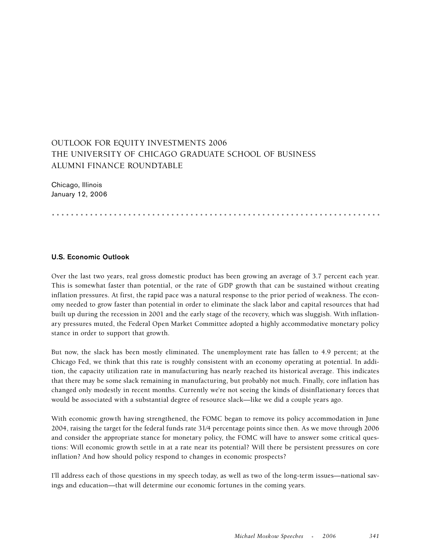# OUTLOOK FOR EQUITY INVESTMENTS 2006 THE UNIVERSITY OF CHICAGO GRADUATE SCHOOL OF BUSINESS ALUMNI FINANCE ROUNDTABLE

Chicago, Illinois January 12, 2006

.....................................................................

## **U.S. Economic Outlook**

Over the last two years, real gross domestic product has been growing an average of 3.7 percent each year. This is somewhat faster than potential, or the rate of GDP growth that can be sustained without creating inflation pressures. At first, the rapid pace was a natural response to the prior period of weakness. The economy needed to grow faster than potential in order to eliminate the slack labor and capital resources that had built up during the recession in 2001 and the early stage of the recovery, which was sluggish. With inflationary pressures muted, the Federal Open Market Committee adopted a highly accommodative monetary policy stance in order to support that growth.

But now, the slack has been mostly eliminated. The unemployment rate has fallen to 4.9 percent; at the Chicago Fed, we think that this rate is roughly consistent with an economy operating at potential. In addition, the capacity utilization rate in manufacturing has nearly reached its historical average. This indicates that there may be some slack remaining in manufacturing, but probably not much. Finally, core inflation has changed only modestly in recent months. Currently we're not seeing the kinds of disinflationary forces that would be associated with a substantial degree of resource slack—like we did a couple years ago.

With economic growth having strengthened, the FOMC began to remove its policy accommodation in June 2004, raising the target for the federal funds rate 31⁄4 percentage points since then. As we move through 2006 and consider the appropriate stance for monetary policy, the FOMC will have to answer some critical questions: Will economic growth settle in at a rate near its potential? Will there be persistent pressures on core inflation? And how should policy respond to changes in economic prospects?

I'll address each of those questions in my speech today, as well as two of the long-term issues—national savings and education—that will determine our economic fortunes in the coming years.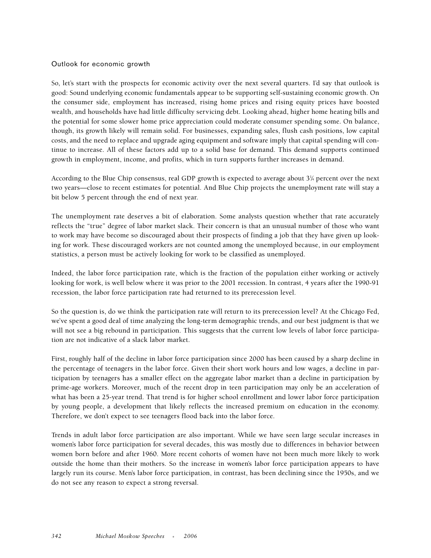#### Outlook for economic growth

So, let's start with the prospects for economic activity over the next several quarters. I'd say that outlook is good: Sound underlying economic fundamentals appear to be supporting self-sustaining economic growth. On the consumer side, employment has increased, rising home prices and rising equity prices have boosted wealth, and households have had little difficulty servicing debt. Looking ahead, higher home heating bills and the potential for some slower home price appreciation could moderate consumer spending some. On balance, though, its growth likely will remain solid. For businesses, expanding sales, flush cash positions, low capital costs, and the need to replace and upgrade aging equipment and software imply that capital spending will continue to increase. All of these factors add up to a solid base for demand. This demand supports continued growth in employment, income, and profits, which in turn supports further increases in demand.

According to the Blue Chip consensus, real GDP growth is expected to average about 3¼ percent over the next two years—close to recent estimates for potential. And Blue Chip projects the unemployment rate will stay a bit below 5 percent through the end of next year.

The unemployment rate deserves a bit of elaboration. Some analysts question whether that rate accurately reflects the "true" degree of labor market slack. Their concern is that an unusual number of those who want to work may have become so discouraged about their prospects of finding a job that they have given up looking for work. These discouraged workers are not counted among the unemployed because, in our employment statistics, a person must be actively looking for work to be classified as unemployed.

Indeed, the labor force participation rate, which is the fraction of the population either working or actively looking for work, is well below where it was prior to the 2001 recession. In contrast, 4 years after the 1990-91 recession, the labor force participation rate had returned to its prerecession level.

So the question is, do we think the participation rate will return to its prerecession level? At the Chicago Fed, we've spent a good deal of time analyzing the long-term demographic trends, and our best judgment is that we will not see a big rebound in participation. This suggests that the current low levels of labor force participation are not indicative of a slack labor market.

First, roughly half of the decline in labor force participation since 2000 has been caused by a sharp decline in the percentage of teenagers in the labor force. Given their short work hours and low wages, a decline in participation by teenagers has a smaller effect on the aggregate labor market than a decline in participation by prime-age workers. Moreover, much of the recent drop in teen participation may only be an acceleration of what has been a 25-year trend. That trend is for higher school enrollment and lower labor force participation by young people, a development that likely reflects the increased premium on education in the economy. Therefore, we don't expect to see teenagers flood back into the labor force.

Trends in adult labor force participation are also important. While we have seen large secular increases in women's labor force participation for several decades, this was mostly due to differences in behavior between women born before and after 1960. More recent cohorts of women have not been much more likely to work outside the home than their mothers. So the increase in women's labor force participation appears to have largely run its course. Men's labor force participation, in contrast, has been declining since the 1950s, and we do not see any reason to expect a strong reversal.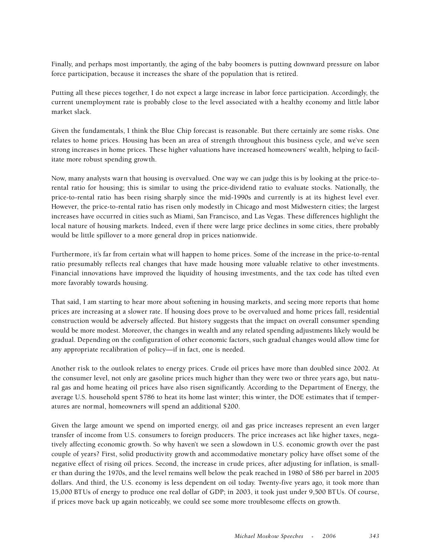Finally, and perhaps most importantly, the aging of the baby boomers is putting downward pressure on labor force participation, because it increases the share of the population that is retired.

Putting all these pieces together, I do not expect a large increase in labor force participation. Accordingly, the current unemployment rate is probably close to the level associated with a healthy economy and little labor market slack.

Given the fundamentals, I think the Blue Chip forecast is reasonable. But there certainly are some risks. One relates to home prices. Housing has been an area of strength throughout this business cycle, and we've seen strong increases in home prices. These higher valuations have increased homeowners' wealth, helping to facilitate more robust spending growth.

Now, many analysts warn that housing is overvalued. One way we can judge this is by looking at the price-torental ratio for housing; this is similar to using the price-dividend ratio to evaluate stocks. Nationally, the price-to-rental ratio has been rising sharply since the mid-1990s and currently is at its highest level ever. However, the price-to-rental ratio has risen only modestly in Chicago and most Midwestern cities; the largest increases have occurred in cities such as Miami, San Francisco, and Las Vegas. These differences highlight the local nature of housing markets. Indeed, even if there were large price declines in some cities, there probably would be little spillover to a more general drop in prices nationwide.

Furthermore, it's far from certain what will happen to home prices. Some of the increase in the price-to-rental ratio presumably reflects real changes that have made housing more valuable relative to other investments. Financial innovations have improved the liquidity of housing investments, and the tax code has tilted even more favorably towards housing.

That said, I am starting to hear more about softening in housing markets, and seeing more reports that home prices are increasing at a slower rate. If housing does prove to be overvalued and home prices fall, residential construction would be adversely affected. But history suggests that the impact on overall consumer spending would be more modest. Moreover, the changes in wealth and any related spending adjustments likely would be gradual. Depending on the configuration of other economic factors, such gradual changes would allow time for any appropriate recalibration of policy—if in fact, one is needed.

Another risk to the outlook relates to energy prices. Crude oil prices have more than doubled since 2002. At the consumer level, not only are gasoline prices much higher than they were two or three years ago, but natural gas and home heating oil prices have also risen significantly. According to the Department of Energy, the average U.S. household spent \$786 to heat its home last winter; this winter, the DOE estimates that if temperatures are normal, homeowners will spend an additional \$200.

Given the large amount we spend on imported energy, oil and gas price increases represent an even larger transfer of income from U.S. consumers to foreign producers. The price increases act like higher taxes, negatively affecting economic growth. So why haven't we seen a slowdown in U.S. economic growth over the past couple of years? First, solid productivity growth and accommodative monetary policy have offset some of the negative effect of rising oil prices. Second, the increase in crude prices, after adjusting for inflation, is smaller than during the 1970s, and the level remains well below the peak reached in 1980 of \$86 per barrel in 2005 dollars. And third, the U.S. economy is less dependent on oil today. Twenty-five years ago, it took more than 15,000 BTUs of energy to produce one real dollar of GDP; in 2003, it took just under 9,500 BTUs. Of course, if prices move back up again noticeably, we could see some more troublesome effects on growth.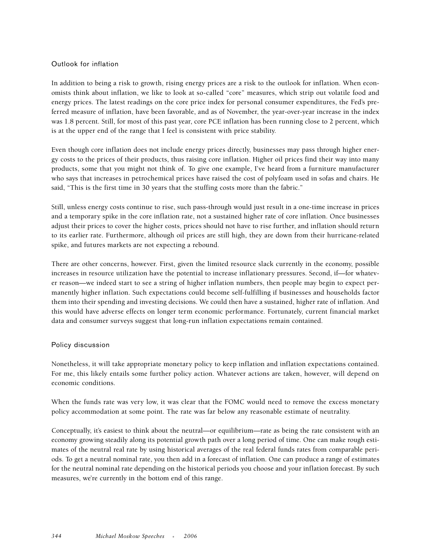# Outlook for inflation

In addition to being a risk to growth, rising energy prices are a risk to the outlook for inflation. When economists think about inflation, we like to look at so-called "core" measures, which strip out volatile food and energy prices. The latest readings on the core price index for personal consumer expenditures, the Fed's preferred measure of inflation, have been favorable, and as of November, the year-over-year increase in the index was 1.8 percent. Still, for most of this past year, core PCE inflation has been running close to 2 percent, which is at the upper end of the range that I feel is consistent with price stability.

Even though core inflation does not include energy prices directly, businesses may pass through higher energy costs to the prices of their products, thus raising core inflation. Higher oil prices find their way into many products, some that you might not think of. To give one example, I've heard from a furniture manufacturer who says that increases in petrochemical prices have raised the cost of polyfoam used in sofas and chairs. He said, "This is the first time in 30 years that the stuffing costs more than the fabric."

Still, unless energy costs continue to rise, such pass-through would just result in a one-time increase in prices and a temporary spike in the core inflation rate, not a sustained higher rate of core inflation. Once businesses adjust their prices to cover the higher costs, prices should not have to rise further, and inflation should return to its earlier rate. Furthermore, although oil prices are still high, they are down from their hurricane-related spike, and futures markets are not expecting a rebound.

There are other concerns, however. First, given the limited resource slack currently in the economy, possible increases in resource utilization have the potential to increase inflationary pressures. Second, if—for whatever reason—we indeed start to see a string of higher inflation numbers, then people may begin to expect permanently higher inflation. Such expectations could become self-fulfilling if businesses and households factor them into their spending and investing decisions. We could then have a sustained, higher rate of inflation. And this would have adverse effects on longer term economic performance. Fortunately, current financial market data and consumer surveys suggest that long-run inflation expectations remain contained.

## Policy discussion

Nonetheless, it will take appropriate monetary policy to keep inflation and inflation expectations contained. For me, this likely entails some further policy action. Whatever actions are taken, however, will depend on economic conditions.

When the funds rate was very low, it was clear that the FOMC would need to remove the excess monetary policy accommodation at some point. The rate was far below any reasonable estimate of neutrality.

Conceptually, it's easiest to think about the neutral—or equilibrium—rate as being the rate consistent with an economy growing steadily along its potential growth path over a long period of time. One can make rough estimates of the neutral real rate by using historical averages of the real federal funds rates from comparable periods. To get a neutral nominal rate, you then add in a forecast of inflation. One can produce a range of estimates for the neutral nominal rate depending on the historical periods you choose and your inflation forecast. By such measures, we're currently in the bottom end of this range.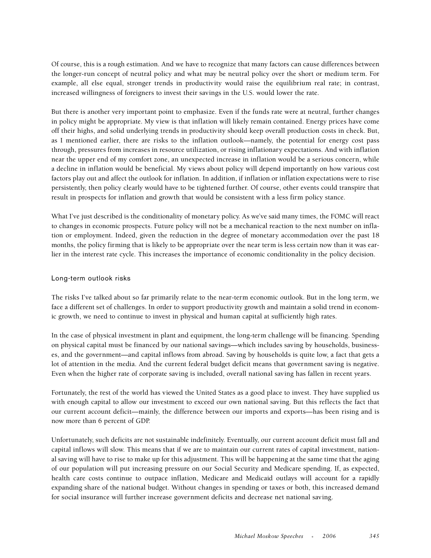Of course, this is a rough estimation. And we have to recognize that many factors can cause differences between the longer-run concept of neutral policy and what may be neutral policy over the short or medium term. For example, all else equal, stronger trends in productivity would raise the equilibrium real rate; in contrast, increased willingness of foreigners to invest their savings in the U.S. would lower the rate.

But there is another very important point to emphasize. Even if the funds rate were at neutral, further changes in policy might be appropriate. My view is that inflation will likely remain contained. Energy prices have come off their highs, and solid underlying trends in productivity should keep overall production costs in check. But, as I mentioned earlier, there are risks to the inflation outlook—namely, the potential for energy cost pass through, pressures from increases in resource utilization, or rising inflationary expectations. And with inflation near the upper end of my comfort zone, an unexpected increase in inflation would be a serious concern, while a decline in inflation would be beneficial. My views about policy will depend importantly on how various cost factors play out and affect the outlook for inflation. In addition, if inflation or inflation expectations were to rise persistently, then policy clearly would have to be tightened further. Of course, other events could transpire that result in prospects for inflation and growth that would be consistent with a less firm policy stance.

What I've just described is the conditionality of monetary policy. As we've said many times, the FOMC will react to changes in economic prospects. Future policy will not be a mechanical reaction to the next number on inflation or employment. Indeed, given the reduction in the degree of monetary accommodation over the past 18 months, the policy firming that is likely to be appropriate over the near term is less certain now than it was earlier in the interest rate cycle. This increases the importance of economic conditionality in the policy decision.

# Long-term outlook risks

The risks I've talked about so far primarily relate to the near-term economic outlook. But in the long term, we face a different set of challenges. In order to support productivity growth and maintain a solid trend in economic growth, we need to continue to invest in physical and human capital at sufficiently high rates.

In the case of physical investment in plant and equipment, the long-term challenge will be financing. Spending on physical capital must be financed by our national savings—which includes saving by households, businesses, and the government—and capital inflows from abroad. Saving by households is quite low, a fact that gets a lot of attention in the media. And the current federal budget deficit means that government saving is negative. Even when the higher rate of corporate saving is included, overall national saving has fallen in recent years.

Fortunately, the rest of the world has viewed the United States as a good place to invest. They have supplied us with enough capital to allow our investment to exceed our own national saving. But this reflects the fact that our current account deficit—mainly, the difference between our imports and exports—has been rising and is now more than 6 percent of GDP.

Unfortunately, such deficits are not sustainable indefinitely. Eventually, our current account deficit must fall and capital inflows will slow. This means that if we are to maintain our current rates of capital investment, national saving will have to rise to make up for this adjustment. This will be happening at the same time that the aging of our population will put increasing pressure on our Social Security and Medicare spending. If, as expected, health care costs continue to outpace inflation, Medicare and Medicaid outlays will account for a rapidly expanding share of the national budget. Without changes in spending or taxes or both, this increased demand for social insurance will further increase government deficits and decrease net national saving.